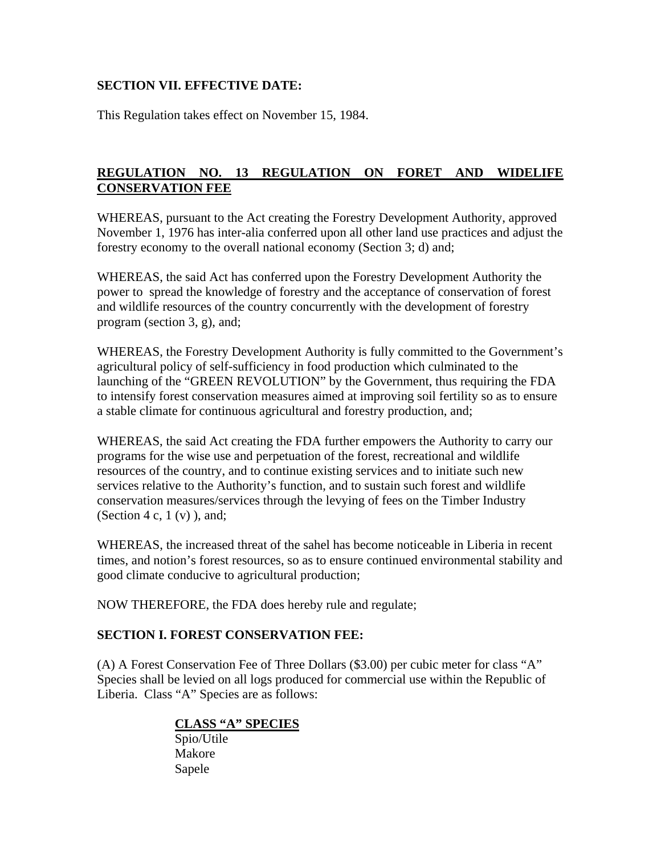# **REGULATION NO. 13 REGULATION ON FORET AND WIDELIFE CONSERVATION FEE**

WHEREAS, pursuant to the Act creating the Forestry Development Authority, approved November 1, 1976 has inter-alia conferred upon all other land use practices and adjust the forestry economy to the overall national economy (Section 3; d) and;

WHEREAS, the said Act has conferred upon the Forestry Development Authority the power to spread the knowledge of forestry and the acceptance of conservation of forest and wildlife resources of the country concurrently with the development of forestry program (section 3, g), and;

WHEREAS, the Forestry Development Authority is fully committed to the Government's agricultural policy of self-sufficiency in food production which culminated to the launching of the "GREEN REVOLUTION" by the Government, thus requiring the FDA to intensify forest conservation measures aimed at improving soil fertility so as to ensure a stable climate for continuous agricultural and forestry production, and;

WHEREAS, the said Act creating the FDA further empowers the Authority to carry our programs for the wise use and perpetuation of the forest, recreational and wildlife resources of the country, and to continue existing services and to initiate such new services relative to the Authority's function, and to sustain such forest and wildlife conservation measures/services through the levying of fees on the Timber Industry (Section 4 c,  $1 (v)$ ), and;

WHEREAS, the increased threat of the sahel has become noticeable in Liberia in recent times, and notion's forest resources, so as to ensure continued environmental stability and good climate conducive to agricultural production;

NOW THEREFORE, the FDA does hereby rule and regulate;

### **SECTION I. FOREST CONSERVATION FEE:**

(A) A Forest Conservation Fee of Three Dollars (\$3.00) per cubic meter for class "A" Species shall be levied on all logs produced for commercial use within the Republic of Liberia. Class "A" Species are as follows:

# **CLASS "A" SPECIES**

 Spio/Utile Makore Sapele